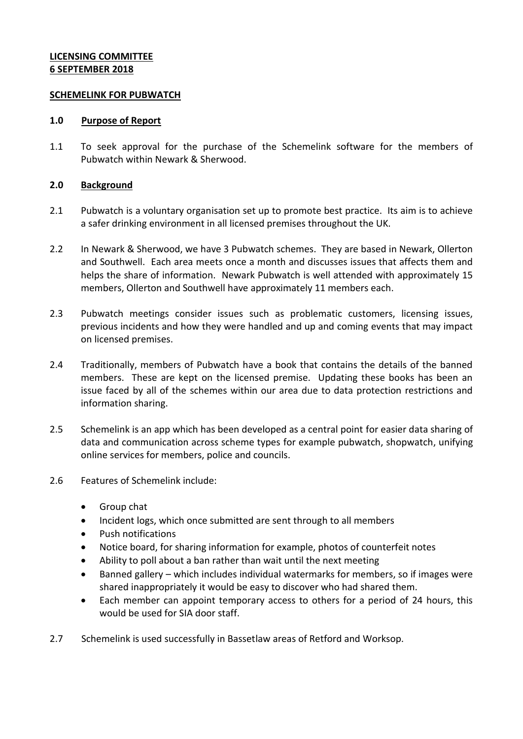# **LICENSING COMMITTEE 6 SEPTEMBER 2018**

### **SCHEMELINK FOR PUBWATCH**

### **1.0 Purpose of Report**

1.1 To seek approval for the purchase of the Schemelink software for the members of Pubwatch within Newark & Sherwood.

# **2.0 Background**

- 2.1 Pubwatch is a voluntary organisation set up to promote best practice. Its aim is to achieve a safer drinking environment in all licensed premises throughout the UK.
- 2.2 In Newark & Sherwood, we have 3 Pubwatch schemes. They are based in Newark, Ollerton and Southwell. Each area meets once a month and discusses issues that affects them and helps the share of information. Newark Pubwatch is well attended with approximately 15 members, Ollerton and Southwell have approximately 11 members each.
- 2.3 Pubwatch meetings consider issues such as problematic customers, licensing issues, previous incidents and how they were handled and up and coming events that may impact on licensed premises.
- 2.4 Traditionally, members of Pubwatch have a book that contains the details of the banned members. These are kept on the licensed premise. Updating these books has been an issue faced by all of the schemes within our area due to data protection restrictions and information sharing.
- 2.5 Schemelink is an app which has been developed as a central point for easier data sharing of data and communication across scheme types for example pubwatch, shopwatch, unifying online services for members, police and councils.
- 2.6 Features of Schemelink include:
	- Group chat
	- Incident logs, which once submitted are sent through to all members
	- Push notifications
	- Notice board, for sharing information for example, photos of counterfeit notes
	- Ability to poll about a ban rather than wait until the next meeting
	- Banned gallery which includes individual watermarks for members, so if images were shared inappropriately it would be easy to discover who had shared them.
	- Each member can appoint temporary access to others for a period of 24 hours, this would be used for SIA door staff.
- 2.7 Schemelink is used successfully in Bassetlaw areas of Retford and Worksop.